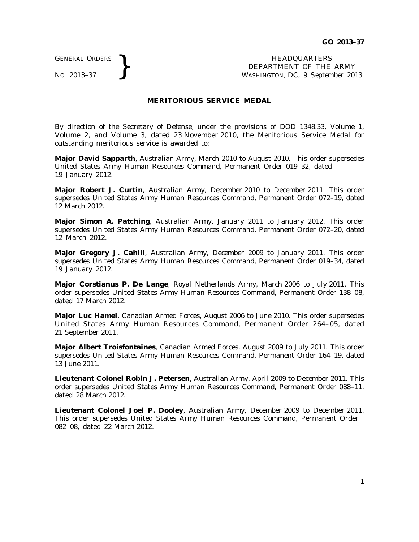GENERAL ORDERS

GENERAL ORDERS **}**<br>No. 2013–37 **}**<br>No. 2013–37 **}**<br>HEADQUARTERS DEPARTMENT OF THE WASHINGTON, DC, 9 Septem DEPARTMENT OF THE ARMY WASHINGTON, DC, *9 September 2013*

## **MERITORIOUS SERVICE MEDAL**

By direction of the Secretary of Defense, under the provisions of DOD 1348.33, Volume 1, Volume 2, and Volume 3, dated 23 November 2010, the Meritorious Service Medal for outstanding meritorious service is awarded to:

**Major David Sapparth**, Australian Army, March 2010 to August 2010. This order supersedes United States Army Human Resources Command, Permanent Order 019–32, dated 19 January 2012.

**Major Robert J. Curtin**, Australian Army, December 2010 to December 2011. This order supersedes United States Army Human Resources Command, Permanent Order 072–19, dated 12 March 2012.

**Major Simon A. Patching**, Australian Army, January 2011 to January 2012. This order supersedes United States Army Human Resources Command, Permanent Order 072–20, dated 12 March 2012.

**Major Gregory J. Cahill**, Australian Army, December 2009 to January 2011. This order supersedes United States Army Human Resources Command, Permanent Order 019–34, dated 19 January 2012.

**Major Corstianus P. De Lange**, Royal Netherlands Army, March 2006 to July 2011. This order supersedes United States Army Human Resources Command, Permanent Order 138–08, dated 17 March 2012.

**Major Luc Hamel**, Canadian Armed Forces, August 2006 to June 2010. This order supersedes United States Army Human Resources Command, Permanent Order 264-05, dated 21 September 2011.

**Major Albert Troisfontaines**, Canadian Armed Forces, August 2009 to July 2011. This order supersedes United States Army Human Resources Command, Permanent Order 164–19, dated 13 June 2011.

**Lieutenant Colonel Robin J. Petersen**, Australian Army, April 2009 to December 2011. This order supersedes United States Army Human Resources Command, Permanent Order 088–11, dated 28 March 2012.

**Lieutenant Colonel Joel P. Dooley**, Australian Army, December 2009 to December 2011. This order supersedes United States Army Human Resources Command, Permanent Order 082–08, dated 22 March 2012.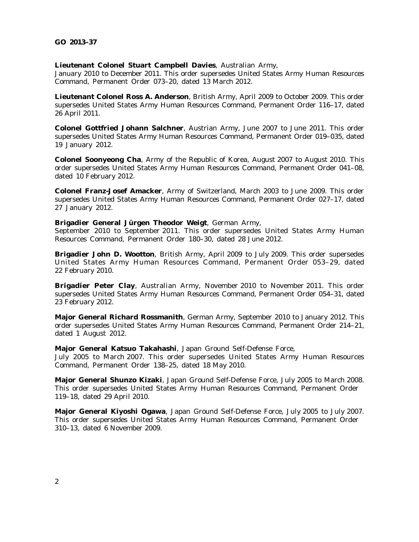## **Lieutenant Colonel Stuart Campbell Davies**, Australian Army,

January 2010 to December 2011. This order supersedes United States Army Human Resources Command, Permanent Order 073–20, dated 13 March 2012.

**Lieutenant Colonel Ross A. Anderson**, British Army, April 2009 to October 2009. This order supersedes United States Army Human Resources Command, Permanent Order 116–17, dated 26 April 2011.

**Colonel Gottfried Johann Salchner**, Austrian Army, June 2007 to June 2011. This order supersedes United States Army Human Resources Command, Permanent Order 019–035, dated 19 January 2012.

**Colonel Soonyeong Cha**, Army of the Republic of Korea, August 2007 to August 2010. This order supersedes United States Army Human Resources Command, Permanent Order 041–08, dated 10 February 2012.

**Colonel Franz-Josef Amacker**, Army of Switzerland, March 2003 to June 2009. This order supersedes United States Army Human Resources Command, Permanent Order 027–17, dated 27 January 2012.

## **Brigadier General Jürgen Theodor Weigt**, German Army,

September 2010 to September 2011. This order supersedes United States Army Human Resources Command, Permanent Order 180–30, dated 28 June 2012.

**Brigadier John D. Wootton**, British Army, April 2009 to July 2009. This order supersedes United States Army Human Resources Command, Permanent Order 053-29, dated 22 February 2010.

**Brigadier Peter Clay**, Australian Army, November 2010 to November 2011. This order supersedes United States Army Human Resources Command, Permanent Order 054–31, dated 23 February 2012.

**Major General Richard Rossmanith**, German Army, September 2010 to January 2012. This order supersedes United States Army Human Resources Command, Permanent Order 214–21, dated 1 August 2012.

## **Major General Katsuo Takahashi**, Japan Ground Self-Defense Force,

July 2005 to March 2007. This order supersedes United States Army Human Resources Command, Permanent Order 138–25, dated 18 May 2010.

**Major General Shunzo Kizaki**, Japan Ground Self-Defense Force, July 2005 to March 2008. This order supersedes United States Army Human Resources Command, Permanent Order 119–18, dated 29 April 2010.

**Major General Kiyoshi Ogawa**, Japan Ground Self-Defense Force, July 2005 to July 2007. This order supersedes United States Army Human Resources Command, Permanent Order 310–13, dated 6 November 2009.